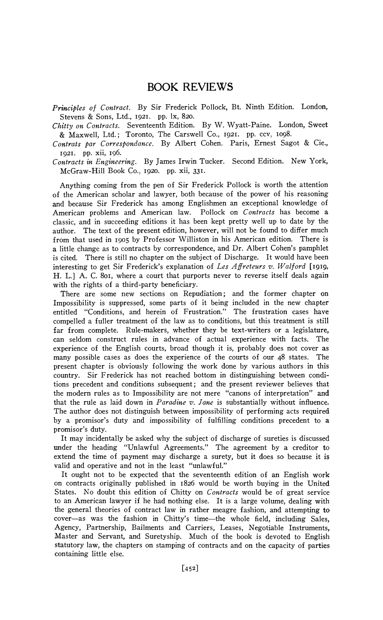## **BOOK REVIEWS**

*Principles of Contract.* By Sir Frederick Pollock, Bt. Ninth Edition. London, Stevens & Sons, Ltd., 1921. pp. lx, 820.

*Chitty on Contracts.* Seventeenth Edition. By W. Wyatt-Paine. London, Sweet & Maxwell, Ltd.; Toronto, The Carswell Co., 1921. pp. ccv, 1098.

*Contrats par Correspondance.* By Albert Cohen. Paris, Ernest Sagot & Cie., 1921. pp. xii, 196.

*Contracts in Engineering.* By James Irwin Tucker. Second Edition. New York,  $McGraw-Hill Book Co., 1920. pp. xii, 331.$ 

Anything coming from the pen of Sir Frederick Pollock is worth the attention of the American scholar and lawyer, both because of the power of his reasoning and because Sir Frederick has among Englishmen an exceptional knowledge of American problems and American law. Pollock on *Contracts* has become a classic, and in succeeding editions it has been kept pretty well up to date by the author. The text of the present edition, however, will not be found to differ much from that used in 1905 by Professor Williston in his American edition. There is a little change as to contracts by correspondence, and Dr. Albert Cohen's pamphlet is cited. There is still no chapter on the subject of Discharge. It would have been interesting to get Sir Frederick's explanation of *Les Affreteurs v. Walford* [191*9,* H. L.] A. C. 801, where a court that purports never to reverse itself deals again with the rights of a third-party beneficiary.

There are some new sections on Repudiation; and the former chapter on Impossibility is suppressed, some parts of it being included in the new chapter entitled "Conditions, and herein of Frustration." The frustration cases have compelled a fuller treatment of the law as to conditions, but this treatment is still far from complete. Rule-makers, whether they be text-writers or a legislature, can seldom construct rules in advance of actual experience with facts. The experience of the English courts, broad though it is, probably does not cover as many possible cases as does the experience of the courts of our 48 states. The present chapter is obviously following the work done by various authors in this country. Sir Frederick has not reached bottom in distinguishing between conditions precedent and conditions subsequent; and the present reviewer believes that the modern rules as to Impossibility are not mere "canons of interpretation" and that the rule as laid down in *Paradine v. Jane* is substantially without influence. The author does not distinguish between impossibility of performing acts required by a promisor's duty and impossibility of fulfilling conditions precedent to a promisor's duty.

It may incidentally be asked why the subject of discharge of sureties is discussed under the heading "Unlawful Agreements." The agreement by a creditor to extend the time of payment may discharge a surety, but it does so because it is valid and operative and not in the least "unlawful."

It ought not to be expected that the seventeenth edition of an English work on contracts originally published in 1826 would be worth buying in the United States. No doubt this edition of Chitty on *Contracts* would be of great service to an American lawyer if he had nothing else. It is a large volume, dealing with the general theories of contract law in rather meagre fashion, and attempting to cover-as was the fashion in Chitty's time-the whole field, including Sales, Agency, Partnership, Bailments and Carriers, Leases, Negotiable Instruments, Master and Servant, and Suretyship. Much of the book is devoted to English statutory law, the chapters on stamping of contracts and on the capacity of parties containing little else.